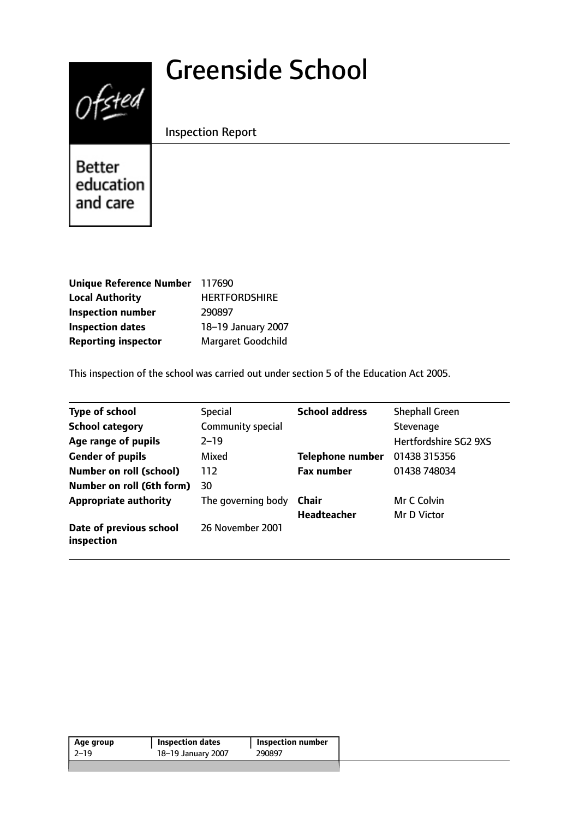# Greenside School



Inspection Report

Better education and care

| Unique Reference Number 117690 |                           |
|--------------------------------|---------------------------|
| <b>Local Authority</b>         | <b>HERTFORDSHIRE</b>      |
| <b>Inspection number</b>       | 290897                    |
| <b>Inspection dates</b>        | 18-19 January 2007        |
| <b>Reporting inspector</b>     | <b>Margaret Goodchild</b> |

This inspection of the school was carried out under section 5 of the Education Act 2005.

| Type of school                        | <b>Special</b>     | <b>School address</b>   | <b>Shephall Green</b>        |
|---------------------------------------|--------------------|-------------------------|------------------------------|
| <b>School category</b>                | Community special  |                         | Stevenage                    |
| Age range of pupils                   | $2 - 19$           |                         | <b>Hertfordshire SG2 9XS</b> |
| <b>Gender of pupils</b>               | Mixed              | <b>Telephone number</b> | 01438 315356                 |
| <b>Number on roll (school)</b>        | 112                | <b>Fax number</b>       | 01438 748034                 |
| Number on roll (6th form)             | 30                 |                         |                              |
| <b>Appropriate authority</b>          | The governing body | Chair                   | Mr C Colvin                  |
|                                       |                    | <b>Headteacher</b>      | Mr D Victor                  |
| Date of previous school<br>inspection | 26 November 2001   |                         |                              |

| Age group | <b>Inspection dates</b> | <b>Inspection number</b> |
|-----------|-------------------------|--------------------------|
| $2 - 19$  | 18-19 January 2007      | 290897                   |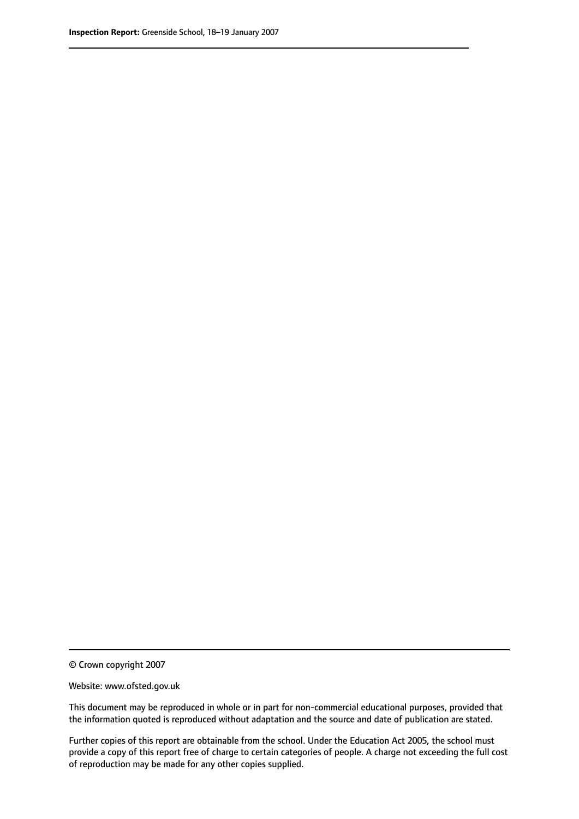© Crown copyright 2007

Website: www.ofsted.gov.uk

This document may be reproduced in whole or in part for non-commercial educational purposes, provided that the information quoted is reproduced without adaptation and the source and date of publication are stated.

Further copies of this report are obtainable from the school. Under the Education Act 2005, the school must provide a copy of this report free of charge to certain categories of people. A charge not exceeding the full cost of reproduction may be made for any other copies supplied.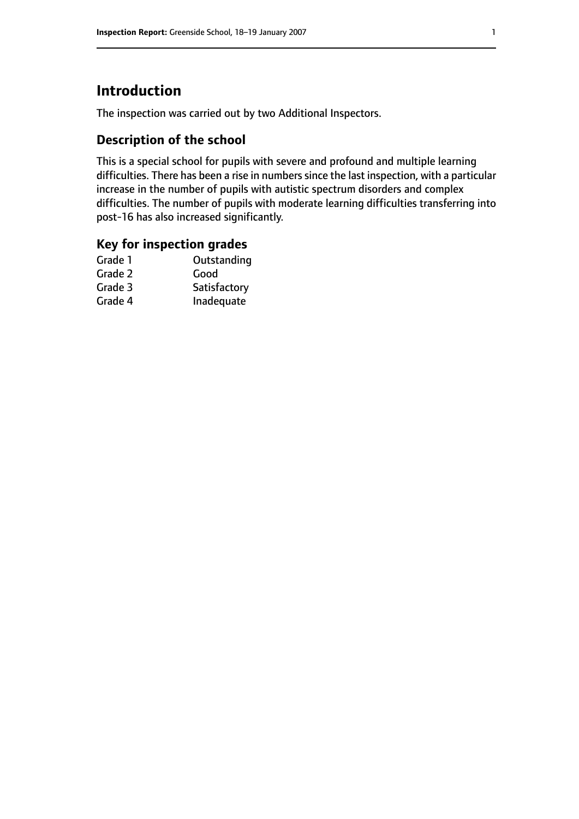# **Introduction**

The inspection was carried out by two Additional Inspectors.

## **Description of the school**

This is a special school for pupils with severe and profound and multiple learning difficulties. There has been a rise in numbers since the last inspection, with a particular increase in the number of pupils with autistic spectrum disorders and complex difficulties. The number of pupils with moderate learning difficulties transferring into post-16 has also increased significantly.

## **Key for inspection grades**

| Good         |
|--------------|
|              |
| Satisfactory |
| Inadequate   |
|              |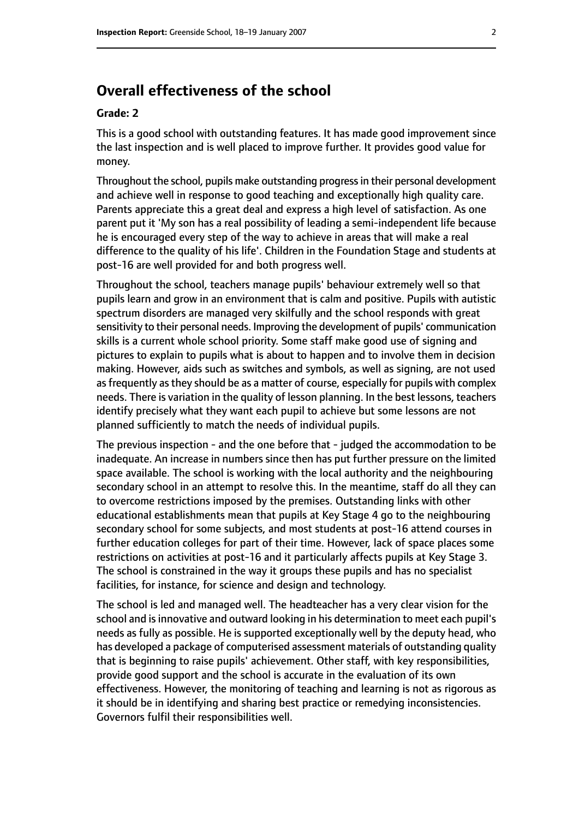# **Overall effectiveness of the school**

#### **Grade: 2**

This is a good school with outstanding features. It has made good improvement since the last inspection and is well placed to improve further. It provides good value for money.

Throughout the school, pupils make outstanding progressin their personal development and achieve well in response to good teaching and exceptionally high quality care. Parents appreciate this a great deal and express a high level of satisfaction. As one parent put it 'My son has a real possibility of leading a semi-independent life because he is encouraged every step of the way to achieve in areas that will make a real difference to the quality of his life'. Children in the Foundation Stage and students at post-16 are well provided for and both progress well.

Throughout the school, teachers manage pupils' behaviour extremely well so that pupils learn and grow in an environment that is calm and positive. Pupils with autistic spectrum disorders are managed very skilfully and the school responds with great sensitivity to their personal needs. Improving the development of pupils' communication skills is a current whole school priority. Some staff make good use of signing and pictures to explain to pupils what is about to happen and to involve them in decision making. However, aids such as switches and symbols, as well as signing, are not used as frequently as they should be as a matter of course, especially for pupils with complex needs. There is variation in the quality of lesson planning. In the best lessons, teachers identify precisely what they want each pupil to achieve but some lessons are not planned sufficiently to match the needs of individual pupils.

The previous inspection - and the one before that - judged the accommodation to be inadequate. An increase in numbers since then has put further pressure on the limited space available. The school is working with the local authority and the neighbouring secondary school in an attempt to resolve this. In the meantime, staff do all they can to overcome restrictions imposed by the premises. Outstanding links with other educational establishments mean that pupils at Key Stage 4 go to the neighbouring secondary school for some subjects, and most students at post-16 attend courses in further education colleges for part of their time. However, lack of space places some restrictions on activities at post-16 and it particularly affects pupils at Key Stage 3. The school is constrained in the way it groups these pupils and has no specialist facilities, for instance, for science and design and technology.

The school is led and managed well. The headteacher has a very clear vision for the school and is innovative and outward looking in his determination to meet each pupil's needs as fully as possible. He is supported exceptionally well by the deputy head, who has developed a package of computerised assessment materials of outstanding quality that is beginning to raise pupils' achievement. Other staff, with key responsibilities, provide good support and the school is accurate in the evaluation of its own effectiveness. However, the monitoring of teaching and learning is not as rigorous as it should be in identifying and sharing best practice or remedying inconsistencies. Governors fulfil their responsibilities well.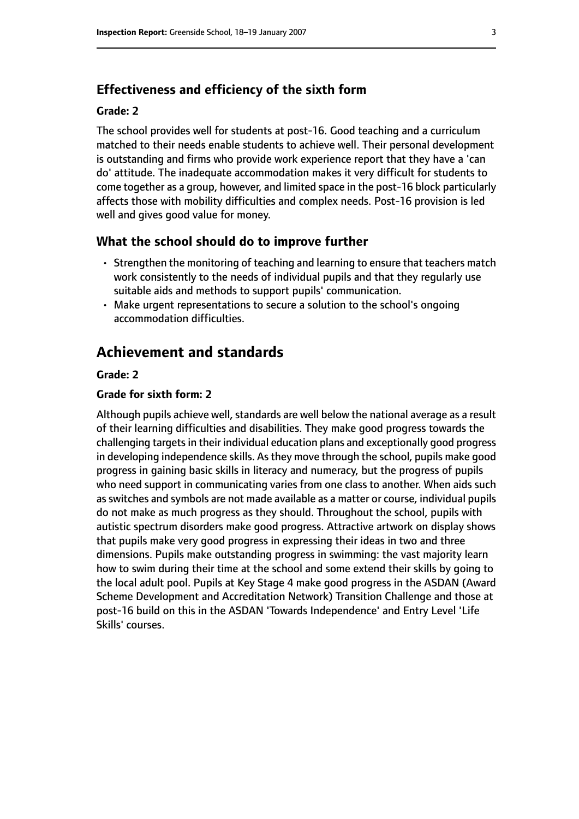## **Effectiveness and efficiency of the sixth form**

#### **Grade: 2**

The school provides well for students at post-16. Good teaching and a curriculum matched to their needs enable students to achieve well. Their personal development is outstanding and firms who provide work experience report that they have a 'can do' attitude. The inadequate accommodation makes it very difficult for students to come together as a group, however, and limited space in the post-16 block particularly affects those with mobility difficulties and complex needs. Post-16 provision is led well and gives good value for money.

## **What the school should do to improve further**

- Strengthen the monitoring of teaching and learning to ensure that teachers match work consistently to the needs of individual pupils and that they regularly use suitable aids and methods to support pupils' communication.
- Make urgent representations to secure a solution to the school's ongoing accommodation difficulties.

# **Achievement and standards**

### **Grade: 2**

### **Grade for sixth form: 2**

Although pupils achieve well, standards are well below the national average as a result of their learning difficulties and disabilities. They make good progress towards the challenging targets in their individual education plans and exceptionally good progress in developing independence skills. As they move through the school, pupils make good progress in gaining basic skills in literacy and numeracy, but the progress of pupils who need support in communicating varies from one class to another. When aids such as switches and symbols are not made available as a matter or course, individual pupils do not make as much progress as they should. Throughout the school, pupils with autistic spectrum disorders make good progress. Attractive artwork on display shows that pupils make very good progress in expressing their ideas in two and three dimensions. Pupils make outstanding progress in swimming: the vast majority learn how to swim during their time at the school and some extend their skills by going to the local adult pool. Pupils at Key Stage 4 make good progress in the ASDAN (Award Scheme Development and Accreditation Network) Transition Challenge and those at post-16 build on this in the ASDAN 'Towards Independence' and Entry Level 'Life Skills' courses.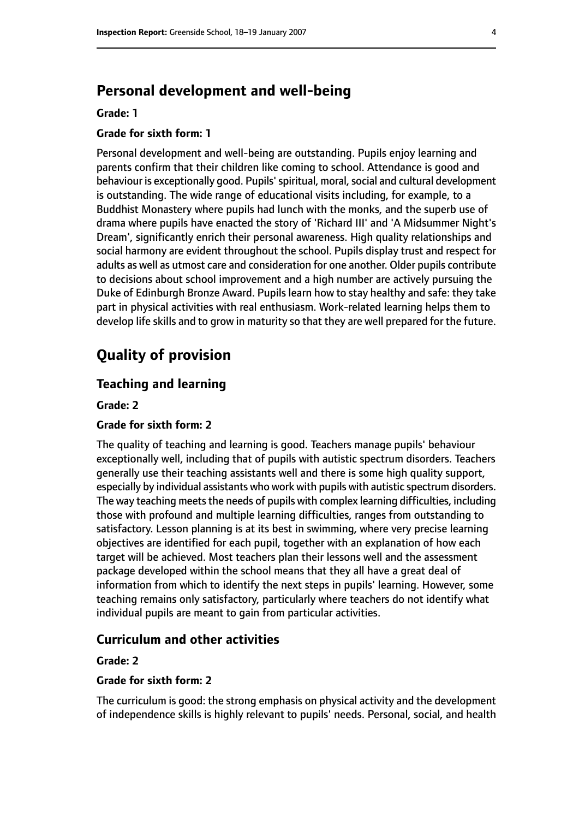# **Personal development and well-being**

## **Grade: 1**

## **Grade for sixth form: 1**

Personal development and well-being are outstanding. Pupils enjoy learning and parents confirm that their children like coming to school. Attendance is good and behaviour is exceptionally good. Pupils' spiritual, moral, social and cultural development is outstanding. The wide range of educational visits including, for example, to a Buddhist Monastery where pupils had lunch with the monks, and the superb use of drama where pupils have enacted the story of 'Richard III' and 'A Midsummer Night's Dream', significantly enrich their personal awareness. High quality relationships and social harmony are evident throughout the school. Pupils display trust and respect for adults as well as utmost care and consideration for one another. Older pupils contribute to decisions about school improvement and a high number are actively pursuing the Duke of Edinburgh Bronze Award. Pupils learn how to stay healthy and safe: they take part in physical activities with real enthusiasm. Work-related learning helps them to develop life skills and to grow in maturity so that they are well prepared for the future.

# **Quality of provision**

## **Teaching and learning**

**Grade: 2**

## **Grade for sixth form: 2**

The quality of teaching and learning is good. Teachers manage pupils' behaviour exceptionally well, including that of pupils with autistic spectrum disorders. Teachers generally use their teaching assistants well and there is some high quality support, especially by individual assistants who work with pupils with autistic spectrum disorders. The way teaching meets the needs of pupils with complex learning difficulties, including those with profound and multiple learning difficulties, ranges from outstanding to satisfactory. Lesson planning is at its best in swimming, where very precise learning objectives are identified for each pupil, together with an explanation of how each target will be achieved. Most teachers plan their lessons well and the assessment package developed within the school means that they all have a great deal of information from which to identify the next steps in pupils' learning. However, some teaching remains only satisfactory, particularly where teachers do not identify what individual pupils are meant to gain from particular activities.

## **Curriculum and other activities**

**Grade: 2**

#### **Grade for sixth form: 2**

The curriculum is good: the strong emphasis on physical activity and the development of independence skills is highly relevant to pupils' needs. Personal, social, and health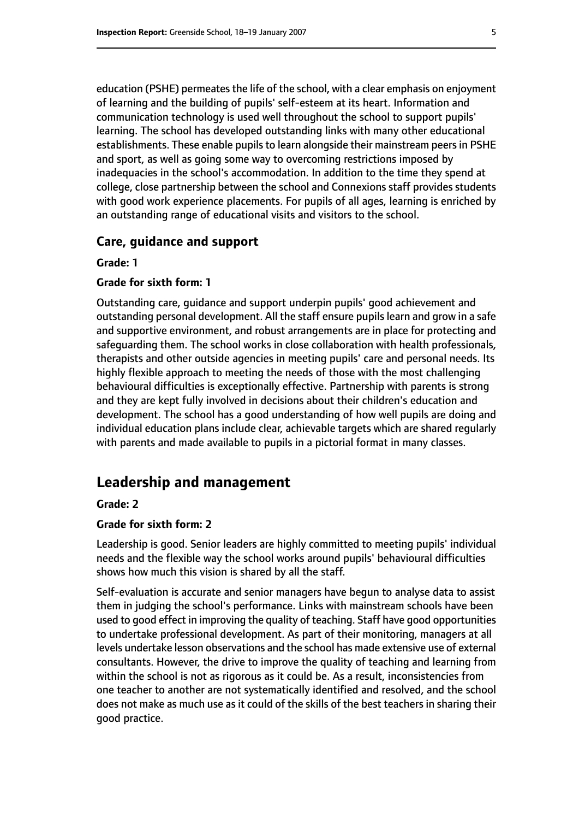education (PSHE) permeates the life of the school, with a clear emphasis on enjoyment of learning and the building of pupils' self-esteem at its heart. Information and communication technology is used well throughout the school to support pupils' learning. The school has developed outstanding links with many other educational establishments. These enable pupils to learn alongside their mainstream peers in PSHE and sport, as well as going some way to overcoming restrictions imposed by inadequacies in the school's accommodation. In addition to the time they spend at college, close partnership between the school and Connexions staff provides students with good work experience placements. For pupils of all ages, learning is enriched by an outstanding range of educational visits and visitors to the school.

## **Care, guidance and support**

**Grade: 1**

## **Grade for sixth form: 1**

Outstanding care, guidance and support underpin pupils' good achievement and outstanding personal development. All the staff ensure pupils learn and grow in a safe and supportive environment, and robust arrangements are in place for protecting and safeguarding them. The school works in close collaboration with health professionals, therapists and other outside agencies in meeting pupils' care and personal needs. Its highly flexible approach to meeting the needs of those with the most challenging behavioural difficulties is exceptionally effective. Partnership with parents is strong and they are kept fully involved in decisions about their children's education and development. The school has a good understanding of how well pupils are doing and individual education plans include clear, achievable targets which are shared regularly with parents and made available to pupils in a pictorial format in many classes.

## **Leadership and management**

#### **Grade: 2**

#### **Grade for sixth form: 2**

Leadership is good. Senior leaders are highly committed to meeting pupils' individual needs and the flexible way the school works around pupils' behavioural difficulties shows how much this vision is shared by all the staff.

Self-evaluation is accurate and senior managers have begun to analyse data to assist them in judging the school's performance. Links with mainstream schools have been used to good effect in improving the quality of teaching. Staff have good opportunities to undertake professional development. As part of their monitoring, managers at all levels undertake lesson observations and the school has made extensive use of external consultants. However, the drive to improve the quality of teaching and learning from within the school is not as rigorous as it could be. As a result, inconsistencies from one teacher to another are not systematically identified and resolved, and the school does not make as much use as it could of the skills of the best teachers in sharing their good practice.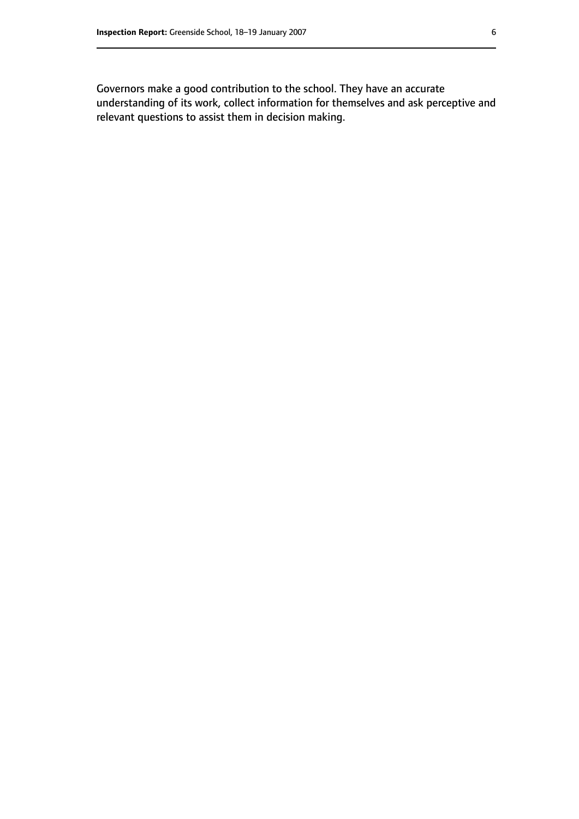Governors make a good contribution to the school. They have an accurate understanding of its work, collect information for themselves and ask perceptive and relevant questions to assist them in decision making.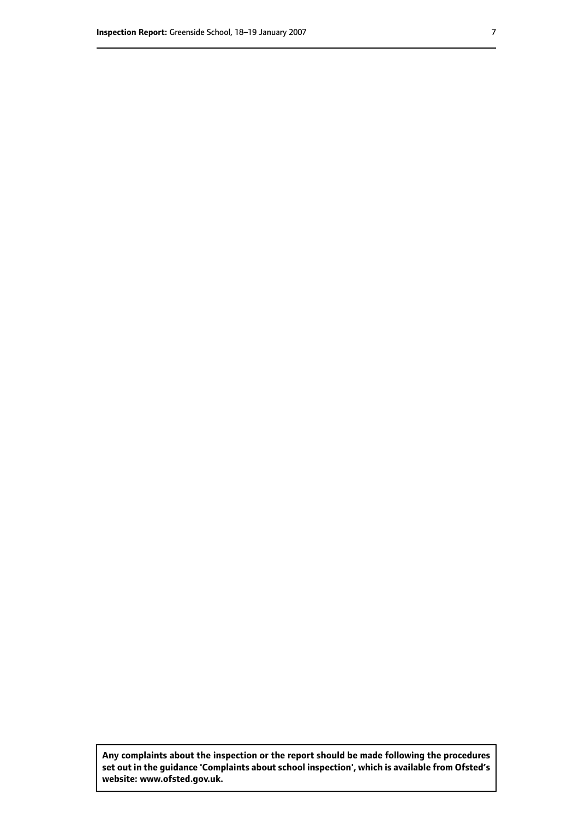**Any complaints about the inspection or the report should be made following the procedures set out inthe guidance 'Complaints about school inspection', whichis available from Ofsted's website: www.ofsted.gov.uk.**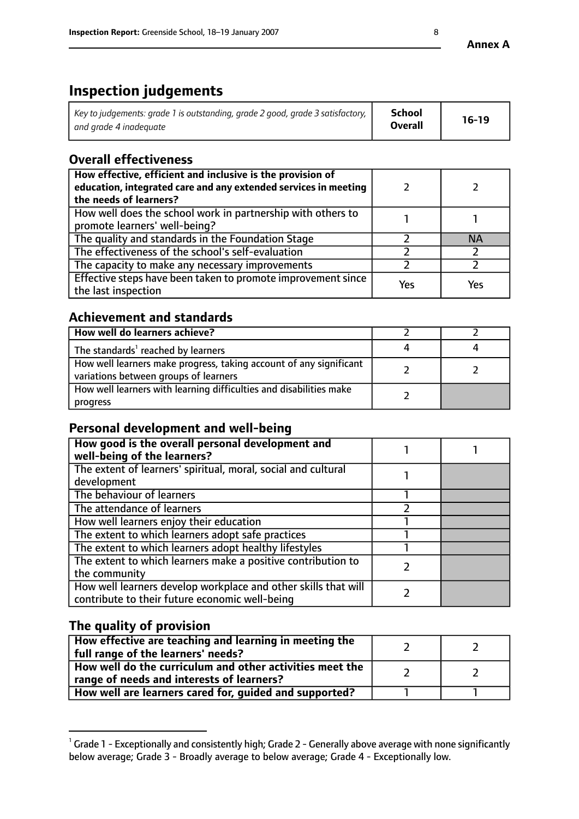# **Inspection judgements**

| $^{\prime}$ Key to judgements: grade 1 is outstanding, grade 2 good, grade 3 satisfactory, $\parallel$ | School         | $16-19$ |
|--------------------------------------------------------------------------------------------------------|----------------|---------|
| and grade 4 inadeguate                                                                                 | <b>Overall</b> |         |

# **Overall effectiveness**

| How effective, efficient and inclusive is the provision of<br>education, integrated care and any extended services in meeting<br>the needs of learners? |     |     |
|---------------------------------------------------------------------------------------------------------------------------------------------------------|-----|-----|
| How well does the school work in partnership with others to<br>promote learners' well-being?                                                            |     |     |
| The quality and standards in the Foundation Stage                                                                                                       |     | ΝA  |
| The effectiveness of the school's self-evaluation                                                                                                       |     |     |
| The capacity to make any necessary improvements                                                                                                         |     |     |
| Effective steps have been taken to promote improvement since<br>the last inspection                                                                     | Yes | Yes |

# **Achievement and standards**

| How well do learners achieve?                                                                               |  |
|-------------------------------------------------------------------------------------------------------------|--|
| The standards <sup>1</sup> reached by learners                                                              |  |
| How well learners make progress, taking account of any significant<br>variations between groups of learners |  |
| How well learners with learning difficulties and disabilities make<br>progress                              |  |

# **Personal development and well-being**

| How good is the overall personal development and<br>well-being of the learners?                                  |  |
|------------------------------------------------------------------------------------------------------------------|--|
| The extent of learners' spiritual, moral, social and cultural<br>development                                     |  |
| The behaviour of learners                                                                                        |  |
| The attendance of learners                                                                                       |  |
| How well learners enjoy their education                                                                          |  |
| The extent to which learners adopt safe practices                                                                |  |
| The extent to which learners adopt healthy lifestyles                                                            |  |
| The extent to which learners make a positive contribution to<br>the community                                    |  |
| How well learners develop workplace and other skills that will<br>contribute to their future economic well-being |  |

# **The quality of provision**

| How effective are teaching and learning in meeting the<br>full range of the learners' needs?          |  |
|-------------------------------------------------------------------------------------------------------|--|
| How well do the curriculum and other activities meet the<br>range of needs and interests of learners? |  |
| How well are learners cared for, guided and supported?                                                |  |

 $^1$  Grade 1 - Exceptionally and consistently high; Grade 2 - Generally above average with none significantly below average; Grade 3 - Broadly average to below average; Grade 4 - Exceptionally low.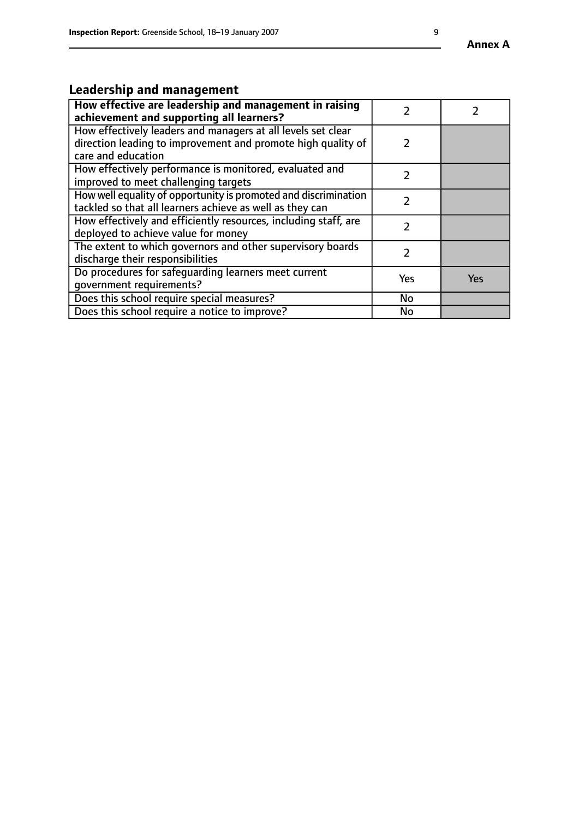# **Leadership and management**

| How effective are leadership and management in raising<br>achievement and supporting all learners?                                                 |     |            |
|----------------------------------------------------------------------------------------------------------------------------------------------------|-----|------------|
| How effectively leaders and managers at all levels set clear<br>direction leading to improvement and promote high quality of<br>care and education | 2   |            |
| How effectively performance is monitored, evaluated and<br>improved to meet challenging targets                                                    |     |            |
| How well equality of opportunity is promoted and discrimination<br>tackled so that all learners achieve as well as they can                        | 7   |            |
| How effectively and efficiently resources, including staff, are<br>deployed to achieve value for money                                             | 7   |            |
| The extent to which governors and other supervisory boards<br>discharge their responsibilities                                                     |     |            |
| Do procedures for safeguarding learners meet current<br>qovernment requirements?                                                                   | Yes | <b>Yes</b> |
| Does this school require special measures?                                                                                                         | No  |            |
| Does this school require a notice to improve?                                                                                                      | No  |            |